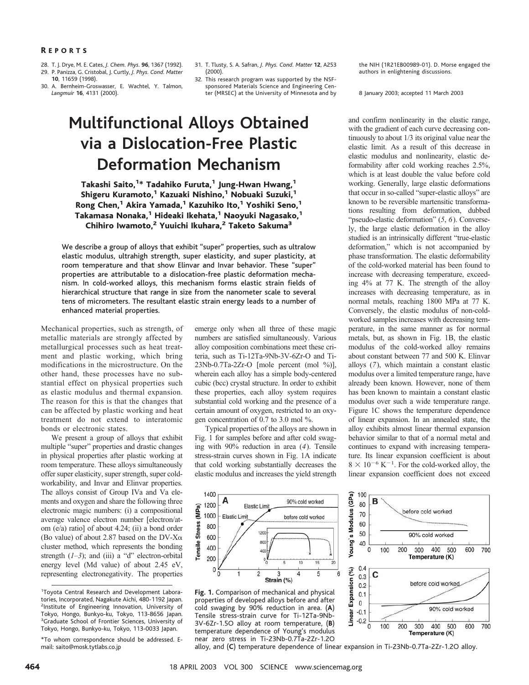- 28. T. J. Drye, M. E. Cates, *J. Chem. Phys.* **96**, 1367 (1992). 29. P. Panizza, G. Cristobal, J. Curtly, *J. Phys. Cond. Matter*
- **10**, 11659 (1998).

30. A. Bernheim-Groswasser, E. Wachtel, Y. Talmon, *Langmuir* **16**, 4131 (2000).

- 31. T. Tlusty, S. A. Safran, *J. Phys. Cond. Matter* **12**, A253 (2000).
- 32. This research program was supported by the NSFsponsored Materials Science and Engineering Center (MRSEC) at the University of Minnesota and by

# **Multifunctional Alloys Obtained via a Dislocation-Free Plastic Deformation Mechanism**

Takashi Saito,<sup>1\*</sup> Tadahiko Furuta,<sup>1</sup> Jung-Hwan Hwang,<sup>1</sup> Shigeru Kuramoto,<sup>1</sup> Kazuaki Nishino,<sup>1</sup> Nobuaki Suzuki,<sup>1</sup> Rong Chen,<sup>1</sup> Akira Yamada,<sup>1</sup> Kazuhiko Ito,<sup>1</sup> Yoshiki Seno,<sup>1</sup> Takamasa Nonaka,<sup>1</sup> Hideaki Ikehata,<sup>1</sup> Naoyuki Nagasako,<sup>1</sup> Chihiro Iwamoto,<sup>2</sup> Yuuichi Ikuhara,<sup>2</sup> Taketo Sakuma<sup>3</sup>

We describe a group of alloys that exhibit "super" properties, such as ultralow elastic modulus, ultrahigh strength, super elasticity, and super plasticity, at room temperature and that show Elinvar and Invar behavior. These "super" properties are attributable to a dislocation-free plastic deformation mechanism. In cold-worked alloys, this mechanism forms elastic strain fields of hierarchical structure that range in size from the nanometer scale to several tens of micrometers. The resultant elastic strain energy leads to a number of enhanced material properties.

Mechanical properties, such as strength, of metallic materials are strongly affected by metallurgical processes such as heat treatment and plastic working, which bring modifications in the microstructure. On the other hand, these processes have no substantial effect on physical properties such as elastic modulus and thermal expansion. The reason for this is that the changes that can be affected by plastic working and heat treatment do not extend to interatomic bonds or electronic states.

We present a group of alloys that exhibit multiple "super" properties and drastic changes in physical properties after plastic working at room temperature. These alloys simultaneously offer super elasticity, super strength, super coldworkability, and Invar and Elinvar properties. The alloys consist of Group IVa and Va elements and oxygen and share the following three electronic magic numbers: (i) a compositional average valence electron number [electron/atom (e/a) ratio] of about 4.24; (ii) a bond order (Bo value) of about 2.87 based on the DV-X $\alpha$ cluster method, which represents the bonding strength (*1–3*); and (iii) a "d" electron-orbital energy level (Md value) of about 2.45 eV, representing electronegativity. The properties

emerge only when all three of these magic numbers are satisfied simultaneously. Various alloy composition combinations meet these criteria, such as Ti-12Ta-9Nb-3V-6Zr-O and Ti-23Nb-0.7Ta-2Zr-O [mole percent (mol %)], wherein each alloy has a simple body-centered cubic (bcc) crystal structure. In order to exhibit these properties, each alloy system requires substantial cold working and the presence of a certain amount of oxygen, restricted to an oxygen concentration of 0.7 to 3.0 mol %.

Typical properties of the alloys are shown in Fig. 1 for samples before and after cold swaging with 90% reduction in area (*4*). Tensile stress-strain curves shown in Fig. 1A indicate that cold working substantially decreases the elastic modulus and increases the yield strength



8 January 2003; accepted 11 March 2003

and confirm nonlinearity in the elastic range, with the gradient of each curve decreasing continuously to about 1/3 its original value near the elastic limit. As a result of this decrease in elastic modulus and nonlinearity, elastic deformability after cold working reaches 2.5%, which is at least double the value before cold working. Generally, large elastic deformations that occur in so-called "super-elastic alloys" are known to be reversible martensitic transformations resulting from deformation, dubbed "pseudo-elastic deformation" (*5*, *6*). Conversely, the large elastic deformation in the alloy studied is an intrinsically different "true-elastic deformation," which is not accompanied by phase transformation. The elastic deformability of the cold-worked material has been found to increase with decreasing temperature, exceeding 4% at 77 K. The strength of the alloy increases with decreasing temperature, as in normal metals, reaching 1800 MPa at 77 K. Conversely, the elastic modulus of non-coldworked samples increases with decreasing temperature, in the same manner as for normal metals, but, as shown in Fig. 1B, the elastic modulus of the cold-worked alloy remains about constant between 77 and 500 K. Elinvar alloys (*7*), which maintain a constant elastic modulus over a limited temperature range, have already been known. However, none of them has been known to maintain a constant elastic modulus over such a wide temperature range. Figure 1C shows the temperature dependence of linear expansion. In an annealed state, the alloy exhibits almost linear thermal expansion behavior similar to that of a normal metal and continues to expand with increasing temperature. Its linear expansion coefficient is about  $8 \times 10^{-6}$  K<sup>-1</sup>. For the cold-worked alloy, the linear expansion coefficient does not exceed



**Fig. 1.** Comparison of mechanical and physical properties of developed alloys before and after cold swaging by 90% reduction in area. (**A**) Tensile stress-strain curve for Ti-12Ta-9Nb-3V-6Zr-1.5O alloy at room temperature, (**B**) temperature dependence of Young's modulus near zero stress in Ti-23Nb-0.7Ta-2Zr-1.2O



alloy, and (**C**) temperature dependence of linear expansion in Ti-23Nb-0.7Ta-2Zr-1.2O alloy.

<sup>1</sup> Toyota Central Research and Development Laboratories, Incorporated, Nagakute Aichi, 480-1192 Japan. 2 Institute of Engineering Innovation, University of Tokyo, Hongo, Bunkyo-ku, Tokyo, 113-8656 Japan. <sup>3</sup>Graduate School of Frontier Sciences, University of Tokyo, Hongo, Bunkyo-ku, Tokyo, 113-0033 Japan.

<sup>\*</sup>To whom correspondence should be addressed. Email: saito@mosk.tytlabs.co.jp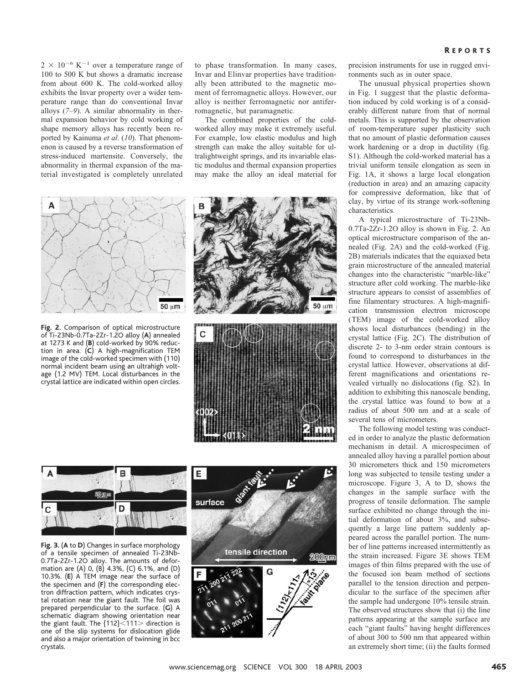$2 \times 10^{-6}$  K<sup>-1</sup> over a temperature range of 100 to 500 K but shows a dramatic increase from about 600 K. The cold-worked alloy exhibits the Invar property over a wider temperature range than do conventional Invar alloys (*7–9*). A similar abnormality in thermal expansion behavior by cold working of shape memory alloys has recently been reported by Kainuma *et al*. (*10*). That phenomenon is caused by a reverse transformation of stress-induced martensite. Conversely, the abnormality in thermal expansion of the material investigated is completely unrelated



**Fig. 2.** Comparison of optical microstructure of Ti-23Nb-0.7Ta-2Zr-1.2O alloy (**A**) annealed at 1273 K and (**B**) cold-worked by 90% reduction in area. (**C**) A high-magnification TEM image of the cold-worked specimen with (110) normal incident beam using an ultrahigh voltage (1.2 MV) TEM. Local disturbances in the crystal lattice are indicated within open circles.

to phase transformation. In many cases, Invar and Elinvar properties have traditionally been attributed to the magnetic moment of ferromagnetic alloys. However, our alloy is neither ferromagnetic nor antiferromagnetic, but paramagnetic.

The combined properties of the coldworked alloy may make it extremely useful. For example, low elastic modulus and high strength can make the alloy suitable for ultralightweight springs, and its invariable elastic modulus and thermal expansion properties may make the alloy an ideal material for







**Fig. 3.** (**A** to **D**) Changes in surface morphology of a tensile specimen of annealed Ti-23Nb-0.7Ta-2Zr-1.2O alloy. The amounts of deformation are (A) 0, (B) 4.3%, (C) 6.1%, and (D) 10.3%. (**E**) A TEM image near the surface of the specimen and (**F**) the corresponding electron diffraction pattern, which indicates crystal rotation near the giant fault. The foil was prepared perpendicular to the surface. (**G**) A schematic diagram showing orientation near the giant fault. The  ${112}$  (111> direction is one of the slip systems for dislocation glide and also a major orientation of twinning in bcc crystals.



precision instruments for use in rugged environments such as in outer space.

The unusual physical properties shown in Fig. 1 suggest that the plastic deformation induced by cold working is of a considerably different nature from that of normal metals. This is supported by the observation of room-temperature super plasticity such that no amount of plastic deformation causes work hardening or a drop in ductility (fig. S1). Although the cold-worked material has a trivial uniform tensile elongation as seen in Fig. 1A, it shows a large local elongation (reduction in area) and an amazing capacity for compressive deformation, like that of clay, by virtue of its strange work-softening characteristics.

A typical microstructure of Ti-23Nb-0.7Ta-2Zr-1.2O alloy is shown in Fig. 2. An optical microstructure comparison of the annealed (Fig. 2A) and the cold-worked (Fig. 2B) materials indicates that the equiaxed beta grain microstructure of the annealed material changes into the characteristic "marble-like" structure after cold working. The marble-like structure appears to consist of assemblies of fine filamentary structures. A high-magnification transmission electron microscope (TEM) image of the cold-worked alloy shows local disturbances (bending) in the crystal lattice (Fig. 2C). The distribution of discrete 2- to 3-nm order strain contours is found to correspond to disturbances in the crystal lattice. However, observations at different magnifications and orientations revealed virtually no dislocations (fig. S2). In addition to exhibiting this nanoscale bending, the crystal lattice was found to bow at a radius of about 500 nm and at a scale of several tens of micrometers.

The following model testing was conducted in order to analyze the plastic deformation mechanism in detail. A microspecimen of annealed alloy having a parallel portion about 30 micrometers thick and 150 micrometers long was subjected to tensile testing under a microscope. Figure 3, A to D, shows the changes in the sample surface with the progress of tensile deformation. The sample surface exhibited no change through the initial deformation of about 3%, and subsequently a large line pattern suddenly appeared across the parallel portion. The number of line patterns increased intermittently as the strain increased. Figure 3E shows TEM images of thin films prepared with the use of the focused ion beam method of sections parallel to the tension direction and perpendicular to the surface of the specimen after the sample had undergone 10% tensile strain. The observed structures show that (i) the line patterns appearing at the sample surface are each "giant faults" having height differences of about 300 to 500 nm that appeared within an extremely short time; (ii) the faults formed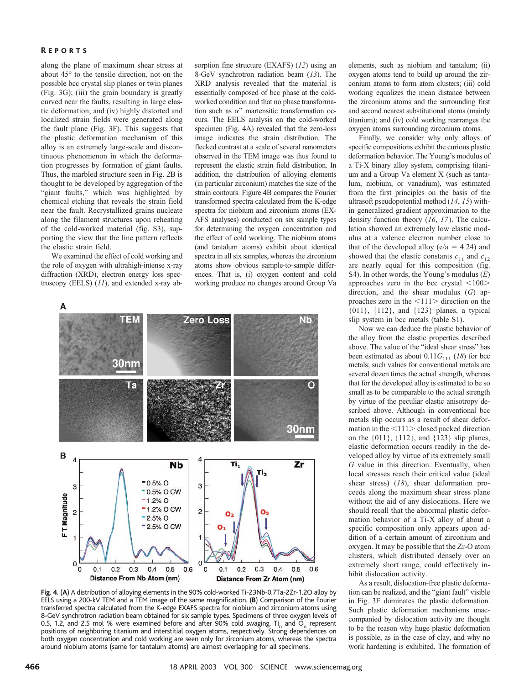#### R EPORTS

along the plane of maximum shear stress at about 45° to the tensile direction, not on the possible bcc crystal slip planes or twin planes (Fig. 3G); (iii) the grain boundary is greatly curved near the faults, resulting in large elastic deformation; and (iv) highly distorted and localized strain fields were generated along the fault plane (Fig. 3F). This suggests that the plastic deformation mechanism of this alloy is an extremely large-scale and discontinuous phenomenon in which the deformation progresses by formation of giant faults. Thus, the marbled structure seen in Fig. 2B is thought to be developed by aggregation of the "giant faults," which was highlighted by chemical etching that reveals the strain field near the fault. Recrystallized grains nucleate along the filament structures upon reheating of the cold-worked material (fig. S3), supporting the view that the line pattern reflects the elastic strain field.

We examined the effect of cold working and the role of oxygen with ultrahigh-intense x-ray diffraction (XRD), electron energy loss spectroscopy (EELS) (*11*), and extended x-ray ab-

sorption fine structure (EXAFS) (*12*) using an 8-GeV synchrotron radiation beam (*13*). The XRD analysis revealed that the material is essentially composed of bcc phase at the coldworked condition and that no phase transformation such as  $\alpha$ " martensitic transformation occurs. The EELS analysis on the cold-worked specimen (Fig. 4A) revealed that the zero-loss image indicates the strain distribution. The flecked contrast at a scale of several nanometers observed in the TEM image was thus found to represent the elastic strain field distribution. In addition, the distribution of alloying elements (in particular zirconium) matches the size of the strain contours. Figure 4B compares the Fourier transformed spectra calculated from the K-edge spectra for niobium and zirconium atoms (EX-AFS analyses) conducted on six sample types for determining the oxygen concentration and the effect of cold working. The niobium atoms (and tantalum atoms) exhibit about identical spectra in all six samples, whereas the zirconium atoms show obvious sample-to-sample differences. That is, (i) oxygen content and cold working produce no changes around Group Va



**Fig. 4.** (**A**) A distribution of alloying elements in the 90% cold-worked Ti-23Nb-0.7Ta-2Zr-1.2O alloy by EELS using a 200-kV TEM and a TEM image of the same magnification. (**B**) Comparison of the Fourier transferred spectra calculated from the K-edge EXAFS spectra for niobium and zirconium atoms using 8-GeV synchrotron radiation beam obtained for six sample types. Specimens of three oxygen levels of 0.5, 1.2, and 2.5 mol % were examined before and after 90% cold swaging. Ti<sub>n</sub> and O<sub>n</sub> represent positions of neighboring titanium and interstitial oxygen atoms, respectively. Strong dependences on both oxygen concentration and cold working are seen only for zirconium atoms, whereas the spectra around niobium atoms (same for tantalum atoms) are almost overlapping for all specimens.

elements, such as niobium and tantalum; (ii) oxygen atoms tend to build up around the zirconium atoms to form atom clusters; (iii) cold working equalizes the mean distance between the zirconium atoms and the surrounding first and second nearest substitutional atoms (mainly titanium); and (iv) cold working rearranges the oxygen atoms surrounding zirconium atoms.

Finally, we consider why only alloys of specific compositions exhibit the curious plastic deformation behavior. The Young's modulus of a Ti-X binary alloy system, comprising titanium and a Group Va element X (such as tantalum, niobium, or vanadium), was estimated from the first principles on the basis of the ultrasoft pseudopotential method (*14*, *15*) within generalized gradient approximation to the density function theory (*16*, *17*). The calculation showed an extremely low elastic modulus at a valence electron number close to that of the developed alloy ( $e/a = 4.24$ ) and showed that the elastic constants  $c_{11}$  and  $c_{12}$ are nearly equal for this composition (fig. S4). In other words, the Young's modulus (*E*) approaches zero in the bcc crystal  $\langle 100 \rangle$ direction, and the shear modulus (*G*) approaches zero in the  $\langle 111 \rangle$  direction on the {011}, {112}, and {123} planes, a typical slip system in bcc metals (table S1).

Now we can deduce the plastic behavior of the alloy from the elastic properties described above. The value of the "ideal shear stress" has been estimated as about  $0.11G_{111}$  (*18*) for bcc metals; such values for conventional metals are several dozen times the actual strength, whereas that for the developed alloy is estimated to be so small as to be comparable to the actual strength by virtue of the peculiar elastic anisotropy described above. Although in conventional bcc metals slip occurs as a result of shear deformation in the  $\leq$ 111  $>$  closed packed direction on the {011}, {112}, and {123} slip planes, elastic deformation occurs readily in the developed alloy by virtue of its extremely small *G* value in this direction. Eventually, when local stresses reach their critical value (ideal shear stress) (*18*), shear deformation proceeds along the maximum shear stress plane without the aid of any dislocations. Here we should recall that the abnormal plastic deformation behavior of a Ti-X alloy of about a specific composition only appears upon addition of a certain amount of zirconium and oxygen. It may be possible that the Zr-O atom clusters, which distributed densely over an extremely short range, could effectively inhibit dislocation activity.

As a result, dislocation-free plastic deformation can be realized, and the "giant fault" visible in Fig. 3E dominates the plastic deformation. Such plastic deformation mechanisms unaccompanied by dislocation activity are thought to be the reason why huge plastic deformation is possible, as in the case of clay, and why no work hardening is exhibited. The formation of